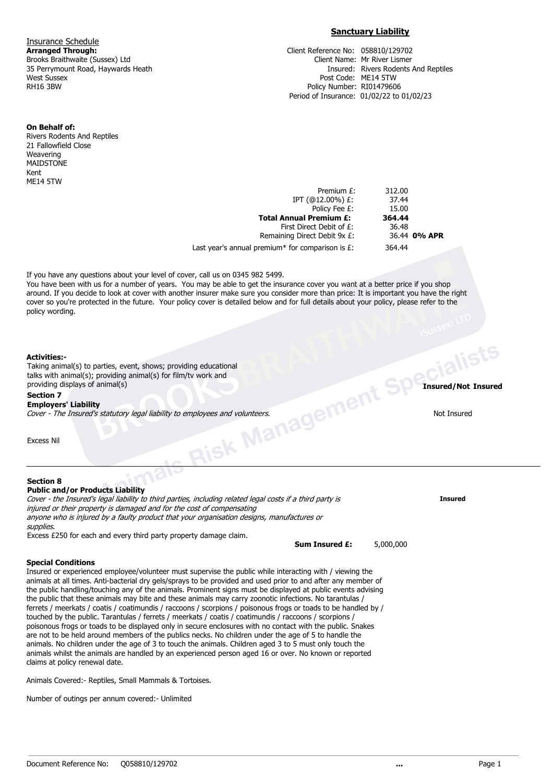**Insurance Schedule**<br>**Arranged Through:** West Sussex Post Code: ME14 5TW<br>RH16 3BW Policy Number: RI0147960

# **Sanctuary Liability**

**Arranged Through:** Client Reference No: 058810/129702 Brooks Braithwaite (Sussex) Ltd **Client Access 20 September 25 Perrymount Road, Haywards Heath** Client Name: Mr River Lismer 35 Perrymount Road, Haywards Heath **Client Access 20 September 25 Perrymount Road**, Haywards Heat Insured: Rivers Rodents And Reptiles Policy Number: RI01479606 Period of Insurance: 01/02/22 to 01/02/23

**On Behalf of:**

Rivers Rodents And Reptiles 21 Fallowfield Close Weavering MAIDSTONE Kent ME14 5TW

| 36.44 0% APR |
|--------------|
|              |
|              |

If you have any questions about your level of cover, call us on 0345 982 5499.

You have been with us for a number of years. You may be able to get the insurance cover you want at a better price if you shop around. If you decide to look at cover with another insurer make sure you consider more than price: It is important you have the right cover so you're protected in the future. Your policy cover is detailed below and for full details about your policy, please refer to the policy wording.

## **Activities:-**

arties, event, shows; providing educational<br>providing animal(s) for film/tv work and<br>**Animals Risk Management Specialists**<br>**Animals Specialists**<br>**Animals Risk Management Specialists**<br>**Animals Risk Management Specialists**<br> Taking animal(s) to parties, event, shows; providing educational talks with animal(s); providing animal(s) for film/tv work and providing displays of animal(s) **Insured/Not Insured**

## **Section 7**

**Employers' Liability** Cover - The Insured's statutory legal liability to employees and volunteers. Not Insured

Excess Nil

## **Section 8**

**Public and/or Products Liability** Cover - the Insured's legal liability to third parties, including related legal costs if a third party is **Insured** injured or their property is damaged and for the cost of compensating anyone who is injured by a faulty product that your organisation designs, manufactures or supplies.

Excess £250 for each and every third party property damage claim.

**Sum Insured £:** 5,000,000

## **Special Conditions**

Insured or experienced employee/volunteer must supervise the public while interacting with / viewing the animals at all times. Anti-bacterial dry gels/sprays to be provided and used prior to and after any member of the public handling/touching any of the animals. Prominent signs must be displayed at public events advising the public that these animals may bite and these animals may carry zoonotic infections. No tarantulas / ferrets / meerkats / coatis / coatimundis / raccoons / scorpions / poisonous frogs or toads to be handled by / touched by the public. Tarantulas / ferrets / meerkats / coatis / coatimundis / raccoons / scorpions / poisonous frogs or toads to be displayed only in secure enclosures with no contact with the public. Snakes are not to be held around members of the publics necks. No children under the age of 5 to handle the animals. No children under the age of 3 to touch the animals. Children aged 3 to 5 must only touch the animals whilst the animals are handled by an experienced person aged 16 or over. No known or reported claims at policy renewal date.

Animals Covered:- Reptiles, Small Mammals & Tortoises.

Number of outings per annum covered:- Unlimited